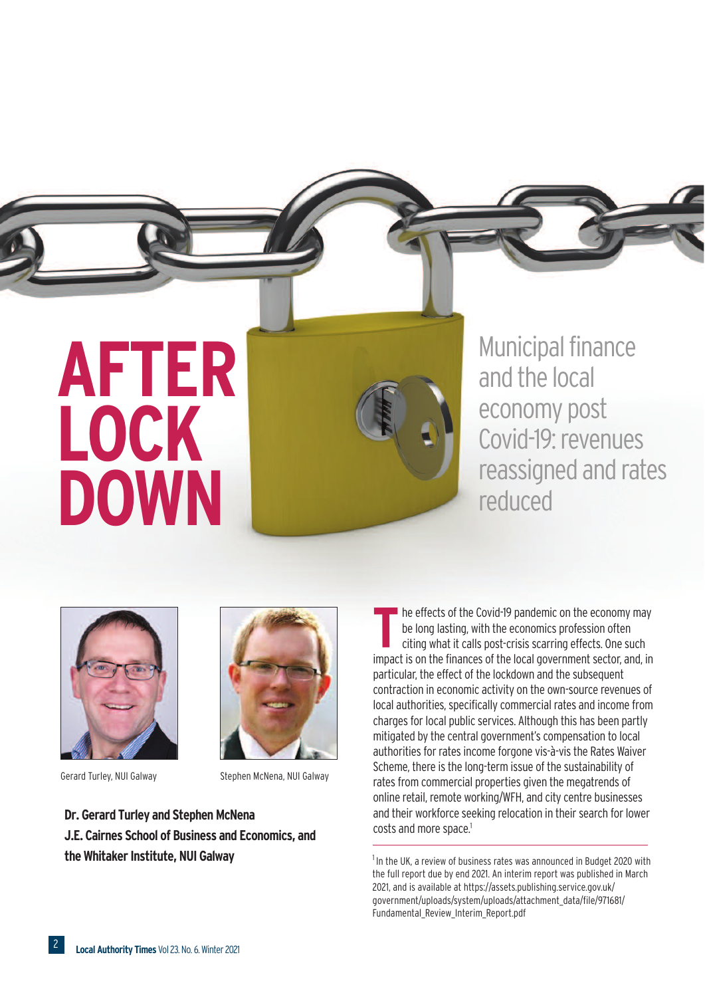

**Municipal finance** and the local economy post Covid-19: revenues reassigned and rates reduced





Gerard Turley, NUI Galway Stephen McNena, NUI Galway

**Dr.** Gerard Turley and Stephen McNena **J.E. Cairnes School of Business and Economics, and the Whitaker Institute, NUI Galway** 

he effects of the Covid-19 pandemic on the economy may be long lasting, with the economics profession often citing what it calls post-crisis scarring effects. One such impact is on the finances of the local government sector, and, in particular, the effect of the lockdown and the subsequent contraction in economic activity on the own-source revenues of local authorities, specifically commercial rates and income from charges for local public services. Although this has been partly mitigated by the central government'scompensation to local authorities for rates income forgone vis-à-vis the Rates Waiver Scheme, there is the long-term issue of the sustainability of rates from commercial properties given the megatrends of online retail, remote working/WFH, and city centre businesses and their workforce seeking relocation in their search for lower costs and more space. 1 **T**

 $1$ In the UK, a review of business rates was announced in Budget 2020 with the full report due by end 2021. An interim report was published in March 2021, and is available at https://assets.publishing.service.gov.uk/ government/uploads/system/uploads/attachment\_data/file/971681/ Fundamental\_Review\_Interim\_Report.pdf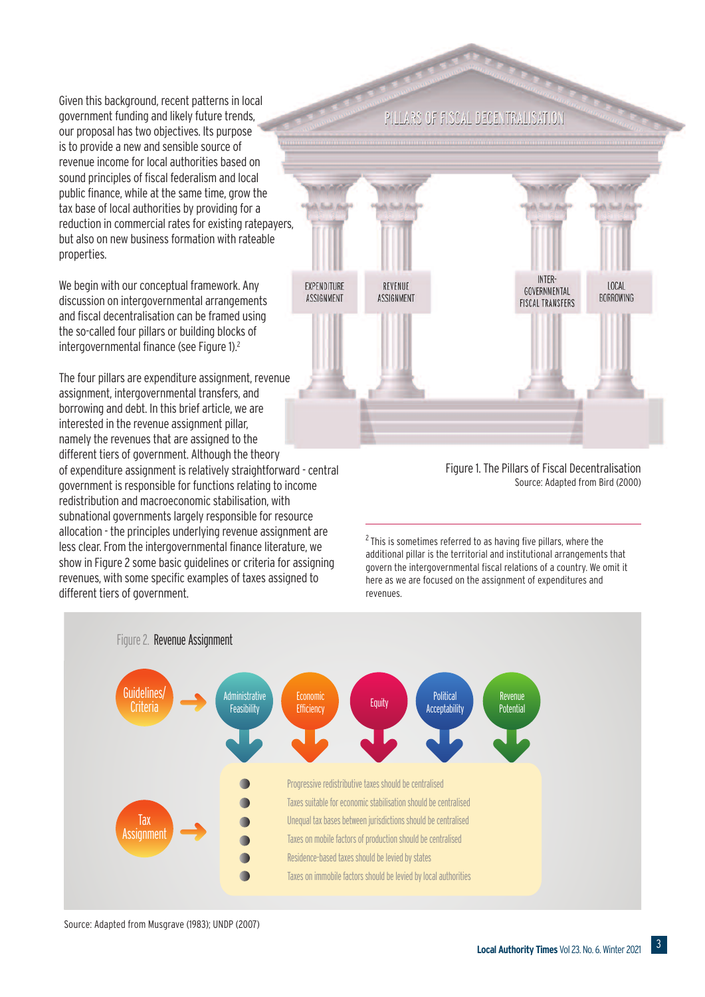Given this background, recent patterns in local government funding and likely future trends, our proposal has two objectives. Its purpose isto provide a new and sensible source of revenue income for local authorities based on sound principles of fiscal federalism and local public finance, while at the same time, grow the tax base of local authorities by providing for a reduction in commercial rates for existing ratepayers, but also on new business formation with rateable properties.

We begin with our conceptual framework. Any discussion on intergovernmental arrangements and fiscal decentralisation can be framed using the so-called four pillars or building blocks of intergovernmental finance (see Figure 1).<sup>2</sup>

The four pillars are expenditure assignment, revenue assignment, intergovernmental transfers, and borrowing and debt. In this brief article, we are interested in the revenue assignment pillar, namely the revenues that are assigned to the different tiers of government. Although the theory of expenditure assignment is relatively straightforward - central government is responsible for functions relating to income redistribution and macroeconomicstabilisation, with subnational governments largely responsible for resource allocation - the principles underlying revenue assignment are less clear. From the intergovernmental finance literature, we show in Figure 2 some basic guidelines or criteria for assigning revenues, with some specific examples of taxes assigned to different tiers of government.

PILLARS OF FISCAL DECENTRALISATION



Figure 1. The Pillars of Fiscal Decentralisation Source: Adapted from Bird (2000)

<sup>2</sup> This is sometimes referred to as having five pillars, where the additional pillar is the territorial and institutional arrangements that govern the intergovernmental fiscal relations of a country. We omit it here as we are focused on the assignment of expenditures and revenues.



Source: Adapted from Musgrave (1983); UNDP (2007)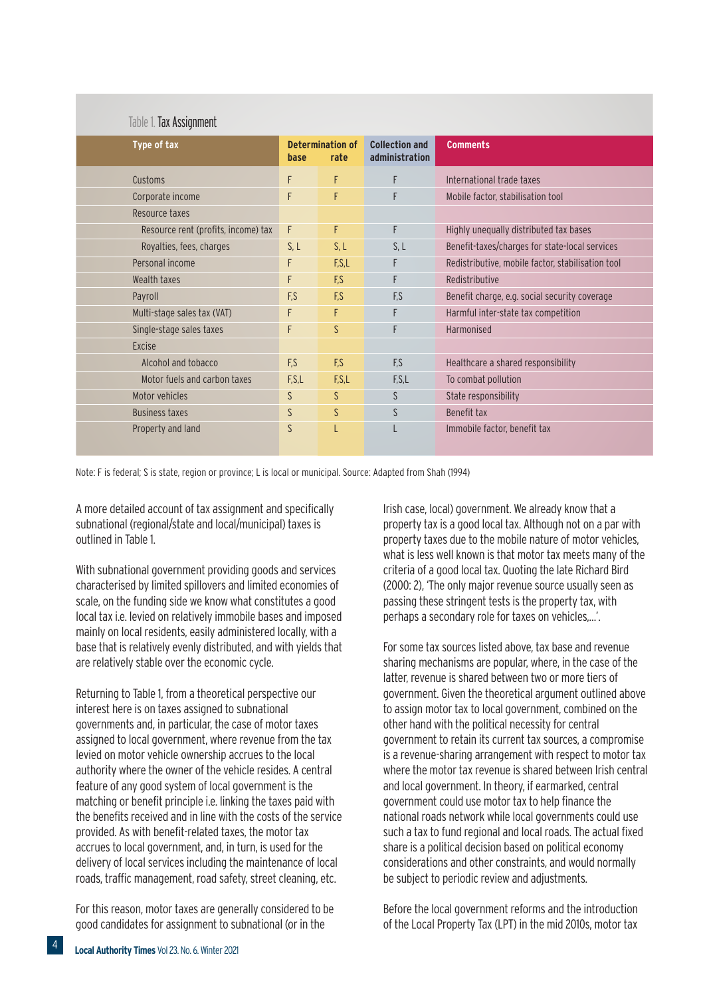## Table 1. Tax Assignment

| Type of tax                         | base  | <b>Determination of</b><br>rate | <b>Collection and</b><br>administration | <b>Comments</b>                                   |
|-------------------------------------|-------|---------------------------------|-----------------------------------------|---------------------------------------------------|
| Customs                             | F     | F                               | F                                       | International trade taxes                         |
| Corporate income                    | F     | F                               | F                                       | Mobile factor, stabilisation tool                 |
| Resource taxes                      |       |                                 |                                         |                                                   |
| Resource rent (profits, income) tax | F     | F                               | F                                       | Highly unequally distributed tax bases            |
| Royalties, fees, charges            | S, L  | S, L                            | S, L                                    | Benefit-taxes/charges for state-local services    |
| Personal income                     | F     | F,S,L                           | F                                       | Redistributive, mobile factor, stabilisation tool |
| Wealth taxes                        | F     | F.S                             | F                                       | Redistributive                                    |
| Payroll                             | F.S   | F.S                             | F.S                                     | Benefit charge, e.g. social security coverage     |
| Multi-stage sales tax (VAT)         | F     | F                               | F                                       | Harmful inter-state tax competition               |
| Single-stage sales taxes            | F     | <sub>S</sub>                    | F                                       | Harmonised                                        |
| Excise                              |       |                                 |                                         |                                                   |
| Alcohol and tobacco                 | F.S   | F.S                             | F.S                                     | Healthcare a shared responsibility                |
| Motor fuels and carbon taxes        | F.S.L | F.S.L                           | F,S,L                                   | To combat pollution                               |
| Motor vehicles                      | S     | S                               | S                                       | State responsibility                              |
| <b>Business taxes</b>               | S     | S                               | S                                       | Benefit tax                                       |
| Property and land                   | S     |                                 |                                         | Immobile factor, benefit tax                      |
|                                     |       |                                 |                                         |                                                   |

Note: F is federal; S is state, region or province; L is local or municipal. Source: Adapted from Shah (1994)

A more detailed account of tax assignment and specifically subnational (regional/state and local/municipal) taxes is outlined in Table 1.

With subnational government providing goods and services characterised by limited spillovers and limited economies of scale, on the funding side we know what constitutes a good local taxi.e. levied on relatively immobile bases and imposed mainly on local residents, easily administered locally, with a base that is relatively evenly distributed, and with yields that are relatively stable over the economic cycle.

Returning to Table 1, from a theoretical perspective our interest here is on taxes assigned to subnational governments and, in particular, the case of motor taxes assigned to local government, where revenue from the tax levied on motor vehicle ownership accrues to the local authority where the owner of the vehicle resides. A central feature of any good system of local government is the matching or benefit principle i.e. linking the taxes paid with the benefits received and in line with the costs of the service provided. As with benefit-related taxes, the motor tax accrues to local government, and, in turn, is used for the delivery of local services including the maintenance of local roads, traffic management, road safety, street cleaning, etc.

For this reason, motor taxes are generally considered to be good candidates for assignment to subnational (or in the

Irish case, local) government. We already know that a property taxis a good local tax. Although not on a par with property taxes due to the mobile nature of motor vehicles, what is less well known is that motor tax meets many of the criteria of a good local tax. Quoting the late Richard Bird (2000: 2), 'The only major revenue source usually seen as passing these stringent tests is the property tax, with perhaps a secondary role for taxes on vehicles,…'.

For some tax sources listed above, tax base and revenue sharing mechanisms are popular, where, in the case of the latter, revenue is shared between two or more tiers of government. Given the theoretical argument outlined above to assign motor tax to local government, combined on the other hand with the political necessity for central government to retain its current tax sources, a compromise is a revenue-sharing arrangement with respect to motor tax where the motor tax revenue is shared between Irish central and local government. In theory, if earmarked, central government could use motor tax to help finance the national roads network while local governments could use such a tax to fund regional and local roads. The actual fixed share is a political decision based on political economy considerations and other constraints, and would normally be subject to periodic review and adjustments.

Before the local government reforms and the introduction of the Local Property Tax(LPT) in the mid 2010s, motor tax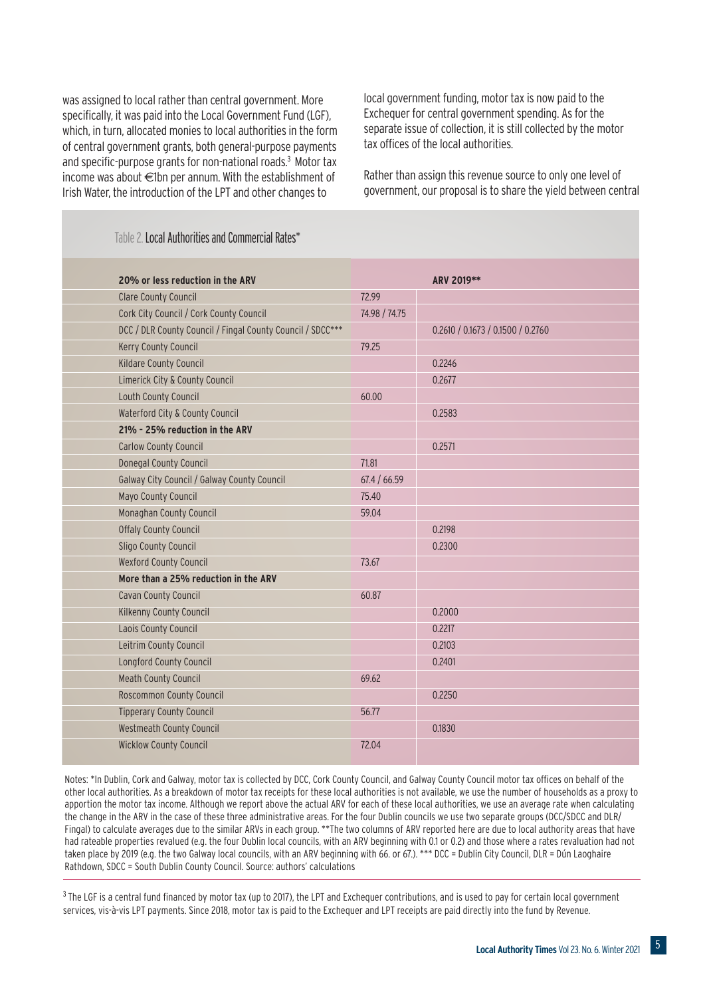was assigned to local rather than central government. More specifically, it was paid into the Local Government Fund (LGF), which, in turn, allocated monies to local authorities in the form of central government grants, both general-purpose payments and specific-purpose grants for non-national roads.<sup>3</sup> Motor tax income was about €1bn per annum. With the establishment of Irish Water, the introduction of the LPT and other changes to

local government funding, motor tax is now paid to the Exchequer for central government spending. As for the separate issue of collection, it is still collected by the motor tax offices of the local authorities.

Rather than assign this revenue source to only one level of government, our proposal is to share the yield between central

## Table 2. Local Authorities and Commercial Rates\*

| 20% or less reduction in the ARV                           |               | ARV 2019**                        |
|------------------------------------------------------------|---------------|-----------------------------------|
| <b>Clare County Council</b>                                | 72.99         |                                   |
| Cork City Council / Cork County Council                    | 74.98 / 74.75 |                                   |
| DCC / DLR County Council / Fingal County Council / SDCC*** |               | 0.2610 / 0.1673 / 0.1500 / 0.2760 |
| Kerry County Council                                       | 79.25         |                                   |
| Kildare County Council                                     |               | 0.2246                            |
| Limerick City & County Council                             |               | 0.2677                            |
| Louth County Council                                       | 60.00         |                                   |
| Waterford City & County Council                            |               | 0.2583                            |
| 21% - 25% reduction in the ARV                             |               |                                   |
| <b>Carlow County Council</b>                               |               | 0.2571                            |
| <b>Donegal County Council</b>                              | 71.81         |                                   |
| Galway City Council / Galway County Council                | 67.4 / 66.59  |                                   |
| Mayo County Council                                        | 75.40         |                                   |
| Monaghan County Council                                    | 59.04         |                                   |
| <b>Offaly County Council</b>                               |               | 0.2198                            |
| Sligo County Council                                       |               | 0.2300                            |
| <b>Wexford County Council</b>                              | 73.67         |                                   |
| More than a 25% reduction in the ARV                       |               |                                   |
| Cavan County Council                                       | 60.87         |                                   |
| Kilkenny County Council                                    |               | 0.2000                            |
| Laois County Council                                       |               | 0.2217                            |
| Leitrim County Council                                     |               | 0.2103                            |
| Longford County Council                                    |               | 0.2401                            |
| <b>Meath County Council</b>                                | 69.62         |                                   |
| Roscommon County Council                                   |               | 0.2250                            |
| <b>Tipperary County Council</b>                            | 56.77         |                                   |
| <b>Westmeath County Council</b>                            |               | 0.1830                            |
| <b>Wicklow County Council</b>                              | 72.04         |                                   |
|                                                            |               |                                   |

Notes: \*In Dublin, Cork and Galway, motor tax is collected by DCC, Cork County Council, and Galway County Council motor tax offices on behalf of the other local authorities. As a breakdown of motor tax receipts for these local authorities is not available, we use the number of households as a proxy to apportion the motor tax income. Although we report above the actual ARV for each of these local authorities, we use an average rate when calculating the change in the ARV in the case of these three administrative areas. For the four Dublin councils we use two separate groups (DCC/SDCC and DLR/ Fingal) to calculate averages due to the similar ARVs in each group. \*\*The two columns of ARV reported here are due to local authority areas that have had rateable properties revalued (e.g. the four Dublin local councils, with an ARV beginning with 0.1 or 0.2) and those where a rates revaluation had not taken place by 2019 (e.g. the two Galway local councils, with an ARV beginning with 66. or 67.). \*\*\* DCC = Dublin City Council, DLR = Dún Laoghaire Rathdown, SDCC = South Dublin County Council. Source: authors' calculations

 $3$  The LGF is a central fund financed by motor tax (up to 2017), the LPT and Exchequer contributions, and is used to pay for certain local government services, vis-à-vis LPT payments. Since 2018, motor tax is paid to the Exchequer and LPT receipts are paid directly into the fund by Revenue.